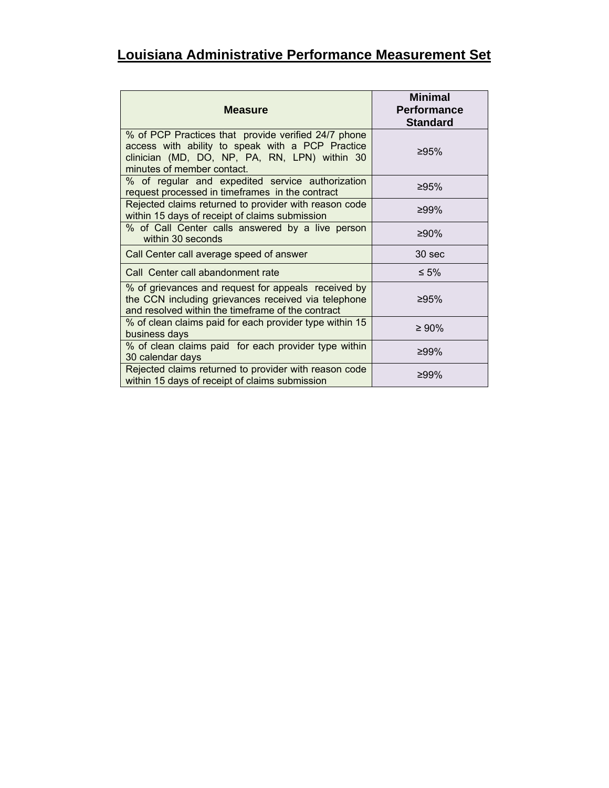| <b>Measure</b>                                                                                                                                                                         | <b>Minimal</b><br><b>Performance</b><br><b>Standard</b> |
|----------------------------------------------------------------------------------------------------------------------------------------------------------------------------------------|---------------------------------------------------------|
| % of PCP Practices that provide verified 24/7 phone<br>access with ability to speak with a PCP Practice<br>clinician (MD, DO, NP, PA, RN, LPN) within 30<br>minutes of member contact. | ≥95%                                                    |
| % of regular and expedited service authorization<br>request processed in timeframes in the contract                                                                                    | ≥95%                                                    |
| Rejected claims returned to provider with reason code<br>within 15 days of receipt of claims submission                                                                                | ≥99%                                                    |
| % of Call Center calls answered by a live person<br>within 30 seconds                                                                                                                  | ≥90%                                                    |
| Call Center call average speed of answer                                                                                                                                               | 30 sec                                                  |
| Call Center call abandonment rate                                                                                                                                                      | $\leq 5\%$                                              |
| % of grievances and request for appeals received by<br>the CCN including grievances received via telephone<br>and resolved within the timeframe of the contract                        | ≥95%                                                    |
| % of clean claims paid for each provider type within 15<br>business days                                                                                                               | $≥ 90\%$                                                |
| % of clean claims paid for each provider type within<br>30 calendar days                                                                                                               | ≥99%                                                    |
| Rejected claims returned to provider with reason code<br>within 15 days of receipt of claims submission                                                                                | ≥99%                                                    |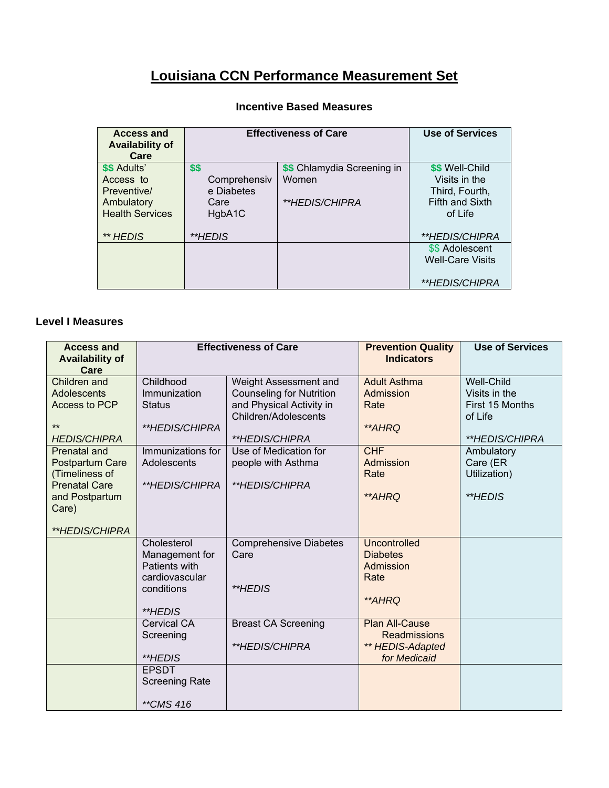## **Louisiana CCN Performance Measurement Set**

| <b>Access and</b><br><b>Availability of</b><br>Care | <b>Effectiveness of Care</b> |                             | <b>Use of Services</b>  |
|-----------------------------------------------------|------------------------------|-----------------------------|-------------------------|
| \$\$ Adults'                                        | \$\$                         | \$\$ Chlamydia Screening in | \$\$ Well-Child         |
| Access to                                           | Comprehensiv                 | Women                       | Visits in the           |
| Preventive/                                         | e Diabetes                   |                             | Third, Fourth,          |
| Ambulatory                                          | Care                         | <i>**HEDIS/CHIPRA</i>       | <b>Fifth and Sixth</b>  |
| <b>Health Services</b>                              | HgbA1C                       |                             | of Life                 |
| ** HEDIS                                            | **HEDIS                      |                             | <i>**HEDIS/CHIPRA</i>   |
|                                                     |                              |                             | \$\$ Adolescent         |
|                                                     |                              |                             | <b>Well-Care Visits</b> |
|                                                     |                              |                             | <i>**HEDIS/CHIPRA</i>   |

## **Incentive Based Measures**

## **Level I Measures**

| <b>Access and</b><br><b>Availability of</b><br>Care                                                                           | <b>Effectiveness of Care</b>                                                              |                                                                                                                                | <b>Prevention Quality</b><br><b>Indicators</b>                                   | <b>Use of Services</b>                                                             |
|-------------------------------------------------------------------------------------------------------------------------------|-------------------------------------------------------------------------------------------|--------------------------------------------------------------------------------------------------------------------------------|----------------------------------------------------------------------------------|------------------------------------------------------------------------------------|
| Children and<br><b>Adolescents</b><br>Access to PCP<br>$**$<br><b>HEDIS/CHIPRA</b>                                            | Childhood<br>Immunization<br><b>Status</b><br>**HEDIS/CHIPRA                              | Weight Assessment and<br><b>Counseling for Nutrition</b><br>and Physical Activity in<br>Children/Adolescents<br>**HEDIS/CHIPRA | <b>Adult Asthma</b><br>Admission<br>Rate<br>**AHRQ                               | <b>Well-Child</b><br>Visits in the<br>First 15 Months<br>of Life<br>**HEDIS/CHIPRA |
| <b>Prenatal and</b><br>Postpartum Care<br>(Timeliness of<br><b>Prenatal Care</b><br>and Postpartum<br>Care)<br>**HEDIS/CHIPRA | Immunizations for<br>Adolescents<br>**HEDIS/CHIPRA                                        | Use of Medication for<br>people with Asthma<br>**HEDIS/CHIPRA                                                                  | <b>CHF</b><br>Admission<br>Rate<br><i>**AHRQ</i>                                 | Ambulatory<br>Care (ER<br>Utilization)<br>**HEDIS                                  |
|                                                                                                                               | Cholesterol<br>Management for<br>Patients with<br>cardiovascular<br>conditions<br>**HEDIS | <b>Comprehensive Diabetes</b><br>Care<br>**HEDIS                                                                               | <b>Uncontrolled</b><br><b>Diabetes</b><br>Admission<br>Rate<br>**AHRQ            |                                                                                    |
|                                                                                                                               | <b>Cervical CA</b><br>Screening<br>**HEDIS                                                | <b>Breast CA Screening</b><br>**HEDIS/CHIPRA                                                                                   | <b>Plan All-Cause</b><br><b>Readmissions</b><br>** HEDIS-Adapted<br>for Medicaid |                                                                                    |
|                                                                                                                               | <b>EPSDT</b><br><b>Screening Rate</b><br>**CMS 416                                        |                                                                                                                                |                                                                                  |                                                                                    |